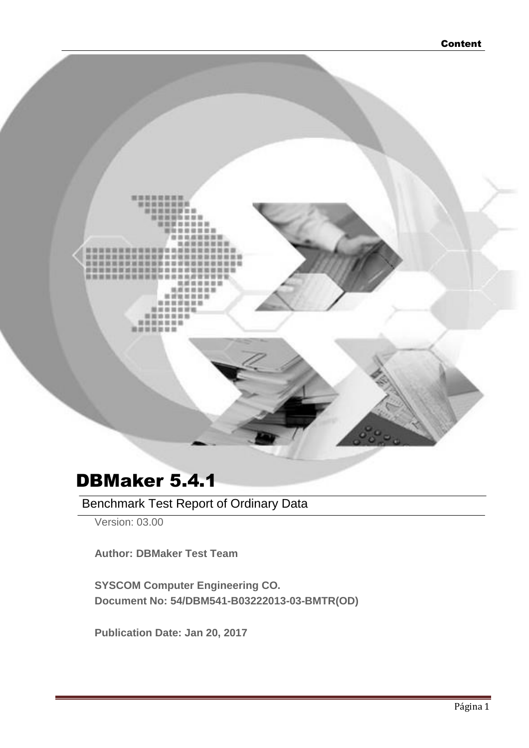

# DBMaker 5.4.1

Benchmark Test Report of Ordinary Data

Version: 03.00

**Author: DBMaker Test Team**

**SYSCOM Computer Engineering CO. Document No: 54/DBM541-B03222013-03-BMTR(OD)**

**Publication Date: Jan 20, 2017**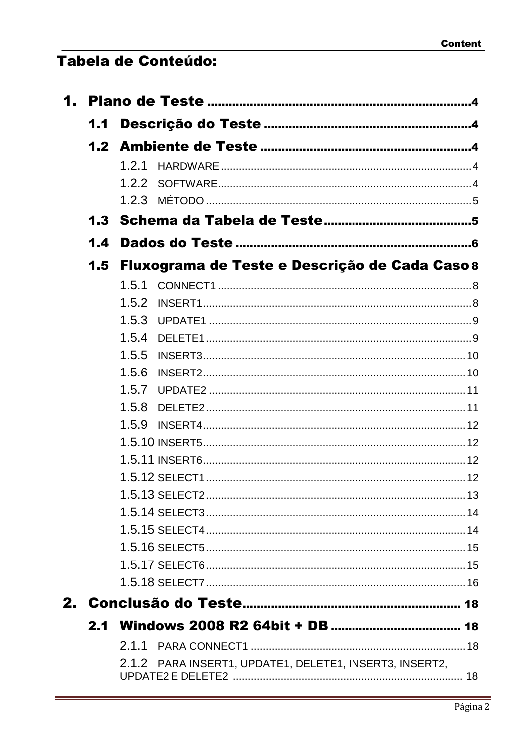# Tabela de Conteúdo:

| 1.1 |                                                         |
|-----|---------------------------------------------------------|
|     |                                                         |
|     | 1.2.1                                                   |
|     | 1.2.2                                                   |
|     |                                                         |
|     |                                                         |
| 1.4 |                                                         |
| 1.5 | Fluxograma de Teste e Descrição de Cada Caso 8          |
|     | 1.5.1                                                   |
|     | 1.5.2                                                   |
|     | 1.5.3                                                   |
|     | 1.5.4                                                   |
|     | 1.5.5                                                   |
|     | 1.5.6                                                   |
|     | 1.5.7                                                   |
|     | 1.5.8                                                   |
|     | 1.5.9                                                   |
|     |                                                         |
|     |                                                         |
|     |                                                         |
|     |                                                         |
|     |                                                         |
|     |                                                         |
|     |                                                         |
|     |                                                         |
|     |                                                         |
|     |                                                         |
|     |                                                         |
|     | 2.1.1                                                   |
|     | 2.1.2 PARA INSERT1, UPDATE1, DELETE1, INSERT3, INSERT2, |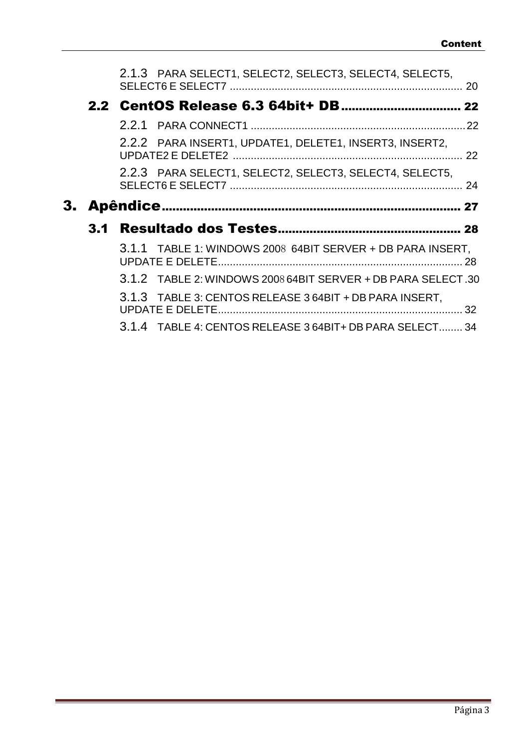|  | 2.1.3 PARA SELECT1, SELECT2, SELECT3, SELECT4, SELECT5,      |    |
|--|--------------------------------------------------------------|----|
|  |                                                              |    |
|  |                                                              |    |
|  |                                                              |    |
|  | 2.2.2 PARA INSERT1, UPDATE1, DELETE1, INSERT3, INSERT2,      |    |
|  | 2.2.3 PARA SELECT1, SELECT2, SELECT3, SELECT4, SELECT5,      |    |
|  |                                                              |    |
|  |                                                              |    |
|  |                                                              |    |
|  | 3.1.1 TABLE 1: WINDOWS 2008 64BIT SERVER + DB PARA INSERT,   |    |
|  | 3.1.2 TABLE 2: WINDOWS 2008 64BIT SERVER + DB PARA SELECT.30 |    |
|  | 3.1.3 TABLE 3: CENTOS RELEASE 3 64BIT + DB PARA INSERT.      | 32 |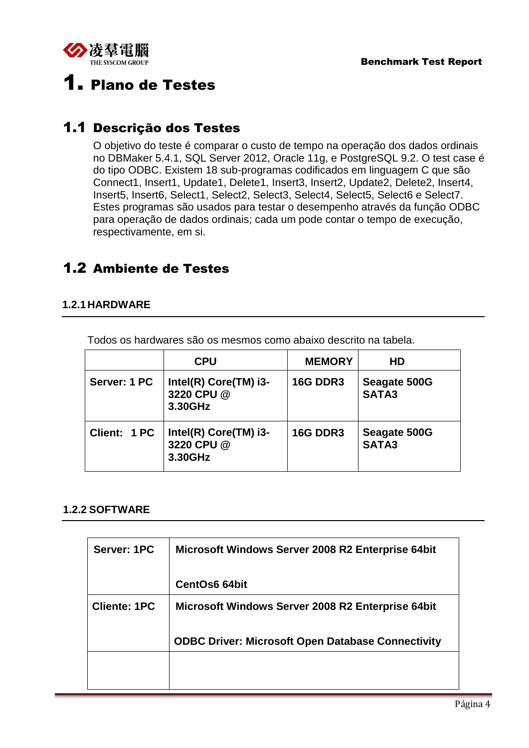<span id="page-3-4"></span>

# <span id="page-3-0"></span>1. Plano de Testes

# <span id="page-3-1"></span>1.1 Descrição dos Testes

O objetivo do teste é comparar o custo de tempo na operação dos dados ordinais no DBMaker 5.4.1, SQL Server 2012, Oracle 11g, e PostgreSQL 9.2. O test case é do tipo ODBC. Existem 18 sub-programas codificados em linguagem C que são Connect1, Insert1, Update1, Delete1, Insert3, Insert2, Update2, Delete2, Insert4, Insert5, Insert6, Select1, Select2, Select3, Select4, Select5, Select6 e Select7. Estes programas são usados para testar o desempenho através da função ODBC para operação de dados ordinais; cada um pode contar o tempo de execução, respectivamente, em si.

# <span id="page-3-2"></span>1.2 Ambiente de Testes

### <span id="page-3-3"></span>**1.2.1HARDWARE**

Todos os hardwares são os mesmos como abaixo descrito na tabela.

|              | <b>CPU</b>                                     | <b>MEMORY</b>   | HD                           |  |
|--------------|------------------------------------------------|-----------------|------------------------------|--|
| Server: 1 PC | Intel(R) Core(TM) i3-<br>3220 CPU @<br>3.30GHz | <b>16G DDR3</b> | Seagate 500G<br><b>SATA3</b> |  |
| Client: 1 PC | Intel(R) Core(TM) i3-<br>3220 CPU @<br>3.30GHz | <b>16G DDR3</b> | Seagate 500G<br>SATA3        |  |

#### **1.2.2 SOFTWARE**

| Server: 1PC         | Microsoft Windows Server 2008 R2 Enterprise 64bit        |
|---------------------|----------------------------------------------------------|
|                     | <b>CentOs6 64bit</b>                                     |
| <b>Cliente: 1PC</b> | Microsoft Windows Server 2008 R2 Enterprise 64bit        |
|                     | <b>ODBC Driver: Microsoft Open Database Connectivity</b> |
|                     |                                                          |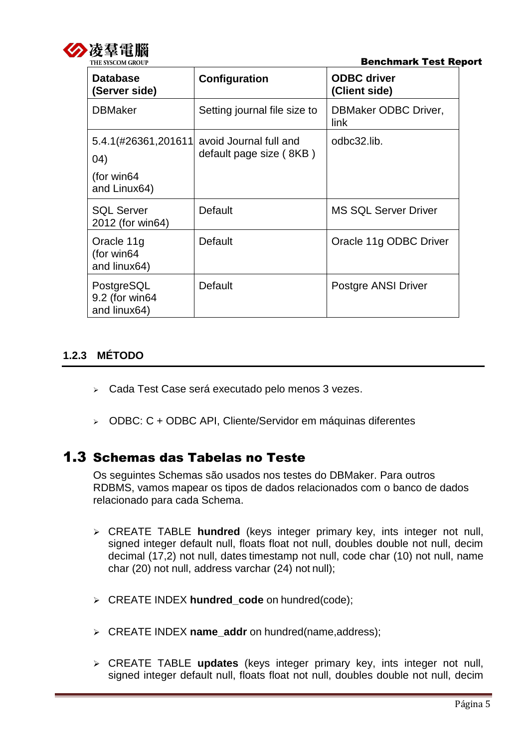<span id="page-4-0"></span>

| <b>Database</b><br>(Server side)                            | Configuration                                     | <b>ODBC</b> driver<br>(Client side) |
|-------------------------------------------------------------|---------------------------------------------------|-------------------------------------|
| <b>DBMaker</b>                                              | Setting journal file size to                      | DBMaker ODBC Driver,<br>link        |
| 5.4.1(#26361,201611<br>04)<br>(for win $64$<br>and Linux64) | avoid Journal full and<br>default page size (8KB) | odbc32.lib.                         |
| <b>SQL Server</b><br>2012 (for win64)                       | Default                                           | <b>MS SQL Server Driver</b>         |
| Oracle 11g<br>(for win64<br>and linux64)                    | Default                                           | Oracle 11g ODBC Driver              |
| PostgreSQL<br>9.2 (for win64<br>and linux64)                | Default                                           | Postgre ANSI Driver                 |

## **1.2.3 MÉTODO**

- Cada Test Case será executado pelo menos 3 vezes.
- ODBC: C + ODBC API, Cliente/Servidor em máquinas diferentes

## <span id="page-4-1"></span>1.3 Schemas das Tabelas no Teste

Os seguintes Schemas são usados nos testes do DBMaker. Para outros RDBMS, vamos mapear os tipos de dados relacionados com o banco de dados relacionado para cada Schema.

- CREATE TABLE **hundred** (keys integer primary key, ints integer not null, signed integer default null, floats float not null, doubles double not null, decim decimal (17,2) not null, dates timestamp not null, code char (10) not null, name char (20) not null, address varchar (24) not null);
- CREATE INDEX **hundred\_code** on hundred(code);
- CREATE INDEX **name\_addr** on hundred(name,address);
- CREATE TABLE **updates** (keys integer primary key, ints integer not null, signed integer default null, floats float not null, doubles double not null, decim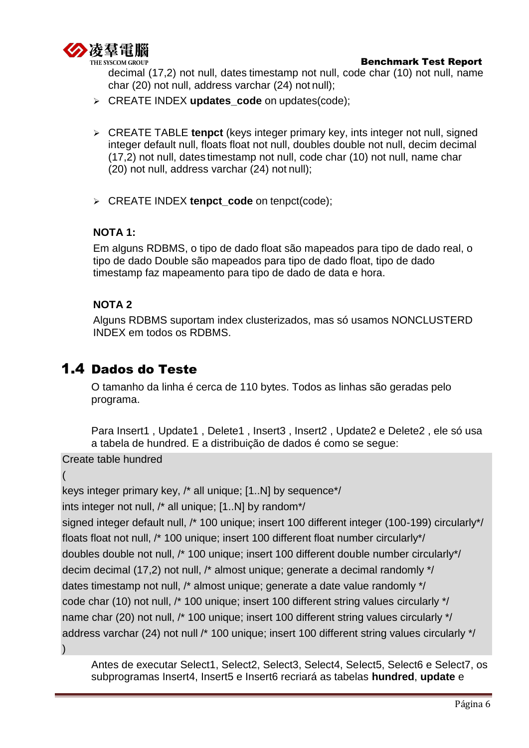

decimal (17,2) not null, dates timestamp not null, code char (10) not null, name char (20) not null, address varchar (24) not null);

- CREATE INDEX **updates\_code** on updates(code);
- CREATE TABLE **tenpct** (keys integer primary key, ints integer not null, signed integer default null, floats float not null, doubles double not null, decim decimal (17,2) not null, dates timestamp not null, code char (10) not null, name char (20) not null, address varchar (24) not null);
- CREATE INDEX **tenpct\_code** on tenpct(code);

## **NOTA 1:**

Em alguns RDBMS, o tipo de dado float são mapeados para tipo de dado real, o tipo de dado Double são mapeados para tipo de dado float, tipo de dado timestamp faz mapeamento para tipo de dado de data e hora.

### **NOTA 2**

Alguns RDBMS suportam index clusterizados, mas só usamos NONCLUSTERD INDEX em todos os RDBMS.

# <span id="page-5-0"></span>1.4 Dados do Teste

O tamanho da linha é cerca de 110 bytes. Todos as linhas são geradas pelo programa.

Para Insert1 , Update1 , Delete1 , Insert3 , Insert2 , Update2 e Delete2 , ele só usa a tabela de hundred. E a distribuição de dados é como se segue:

Create table hundred

(

```
keys integer primary key, /* all unique; [1..N] by sequence*/
```
ints integer not null, /\* all unique; [1..N] by random\*/

signed integer default null, /\* 100 unique; insert 100 different integer (100-199) circularly\*/ floats float not null, /\* 100 unique; insert 100 different float number circularly\*/ doubles double not null, /\* 100 unique; insert 100 different double number circularly\*/ decim decimal (17,2) not null, /\* almost unique; generate a decimal randomly \*/ dates timestamp not null, /\* almost unique; generate a date value randomly \*/ code char (10) not null, /\* 100 unique; insert 100 different string values circularly \*/ name char (20) not null, /\* 100 unique; insert 100 different string values circularly \*/ address varchar (24) not null /\* 100 unique; insert 100 different string values circularly \*/ )

Antes de executar Select1, Select2, Select3, Select4, Select5, Select6 e Select7, os subprogramas Insert4, Insert5 e Insert6 recriará as tabelas **hundred**, **update** e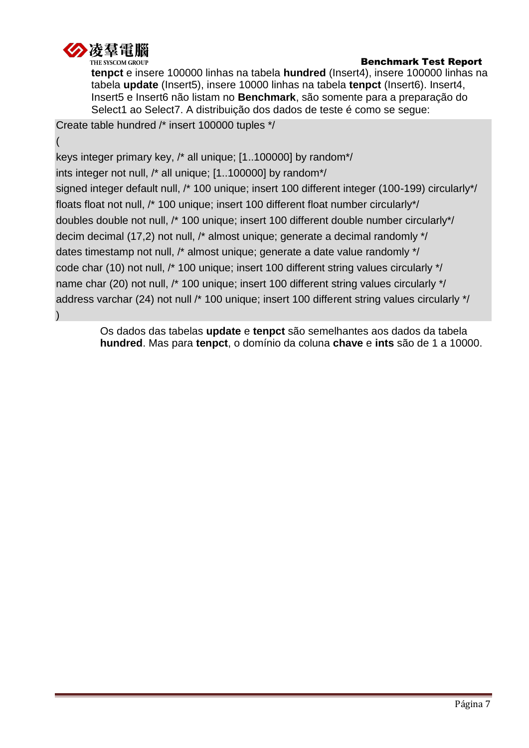

**tenpct** e insere 100000 linhas na tabela **hundred** (Insert4), insere 100000 linhas na tabela **update** (Insert5), insere 10000 linhas na tabela **tenpct** (Insert6). Insert4, Insert5 e Insert6 não listam no **Benchmark**, são somente para a preparação do Select1 ao Select7. A distribuição dos dados de teste é como se segue:

Create table hundred /\* insert 100000 tuples \*/

( keys integer primary key, /\* all unique; [1..100000] by random\*/ ints integer not null, /\* all unique; [1..100000] by random\*/ signed integer default null, /\* 100 unique; insert 100 different integer (100-199) circularly\*/ floats float not null, /\* 100 unique; insert 100 different float number circularly\*/ doubles double not null, /\* 100 unique; insert 100 different double number circularly\*/ decim decimal (17,2) not null, /\* almost unique; generate a decimal randomly \*/ dates timestamp not null, /\* almost unique; generate a date value randomly \*/ code char (10) not null, /\* 100 unique; insert 100 different string values circularly \*/ name char (20) not null, /\* 100 unique; insert 100 different string values circularly \*/ address varchar (24) not null /\* 100 unique; insert 100 different string values circularly \*/ )

> Os dados das tabelas **update** e **tenpct** são semelhantes aos dados da tabela **hundred**. Mas para **tenpct**, o domínio da coluna **chave** e **ints** são de 1 a 10000.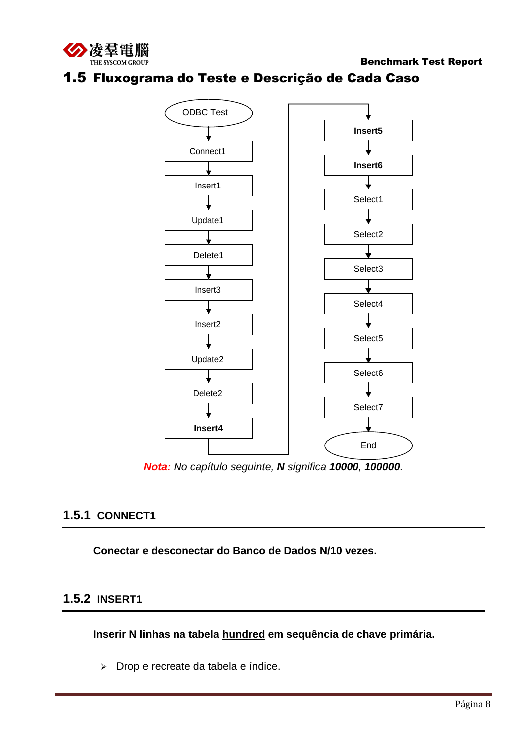<span id="page-7-0"></span>



## 1.5 Fluxograma do Teste e Descrição de Cada Caso

*Nota: No capítulo seguinte, N significa 10000, 100000.*

End

## **1.5.1 CONNECT1**

**Conectar e desconectar do Banco de Dados N/10 vezes.**

**Insert4**

## **1.5.2 INSERT1**

**Inserir N linhas na tabela hundred em sequência de chave primária.**

> Drop e recreate da tabela e índice.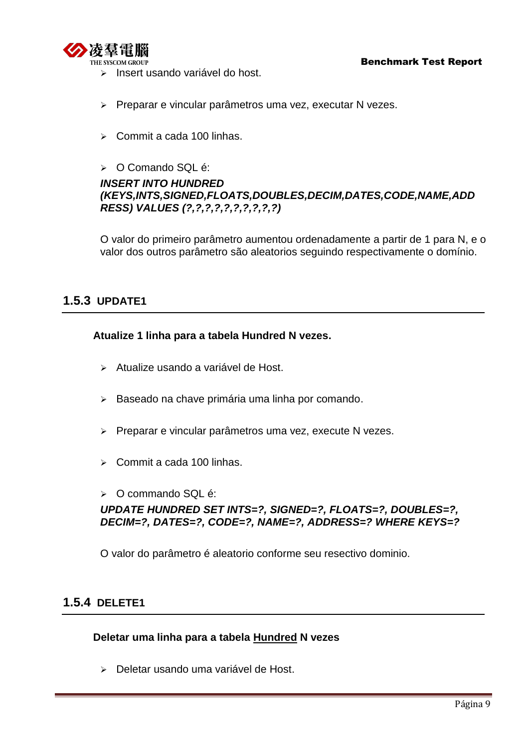<span id="page-8-0"></span>

- Insert usando variável do host.
- Preparar e vincular parâmetros uma vez, executar N vezes.
- $\geq$  Commit a cada 100 linhas.
- $\triangleright$  O Comando SQL é:

## *INSERT INTO HUNDRED (KEYS,INTS,SIGNED,FLOATS,DOUBLES,DECIM,DATES,CODE,NAME,ADD RESS) VALUES (?,?,?,?,?,?,?,?,?,?)*

O valor do primeiro parâmetro aumentou ordenadamente a partir de 1 para N, e o valor dos outros parâmetro são aleatorios seguindo respectivamente o domínio.

## **1.5.3 UPDATE1**

#### **Atualize 1 linha para a tabela Hundred N vezes.**

- Atualize usando a variável de Host.
- > Baseado na chave primária uma linha por comando.
- **> Preparar e vincular parâmetros uma vez, execute N vezes.**
- $\geq$  Commit a cada 100 linhas.
- $\geqslant$  O commando SQL é:

*UPDATE HUNDRED SET INTS=?, SIGNED=?, FLOATS=?, DOUBLES=?, DECIM=?, DATES=?, CODE=?, NAME=?, ADDRESS=? WHERE KEYS=?*

O valor do parâmetro é aleatorio conforme seu resectivo dominio.

## **1.5.4 DELETE1**

#### **Deletar uma linha para a tabela Hundred N vezes**

Deletar usando uma variável de Host.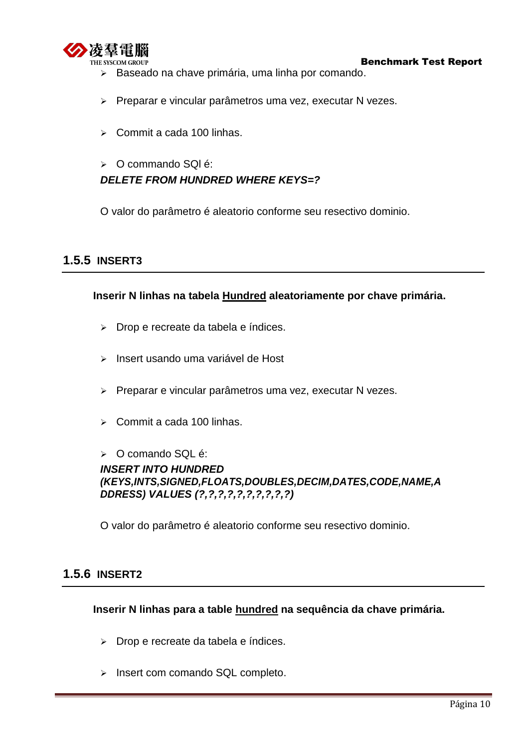<span id="page-9-0"></span>

- > Baseado na chave primária, uma linha por comando.
- Preparar e vincular parâmetros uma vez, executar N vezes.
- $\geq$  Commit a cada 100 linhas.

## > O commando SQI é: *DELETE FROM HUNDRED WHERE KEYS=?*

O valor do parâmetro é aleatorio conforme seu resectivo dominio.

## **1.5.5 INSERT3**

#### **Inserir N linhas na tabela Hundred aleatoriamente por chave primária.**

- > Drop e recreate da tabela e índices.
- > Insert usando uma variável de Host
- $\triangleright$  Preparar e vincular parâmetros uma vez, executar N vezes.
- $\geq$  Commit a cada 100 linhas.

#### > O comando SQL é: *INSERT INTO HUNDRED (KEYS,INTS,SIGNED,FLOATS,DOUBLES,DECIM,DATES,CODE,NAME,A DDRESS) VALUES (?,?,?,?,?,?,?,?,?,?)*

O valor do parâmetro é aleatorio conforme seu resectivo dominio.

### **1.5.6 INSERT2**

#### **Inserir N linhas para a table hundred na sequência da chave primária.**

- > Drop e recreate da tabela e índices.
- > Insert com comando SQL completo.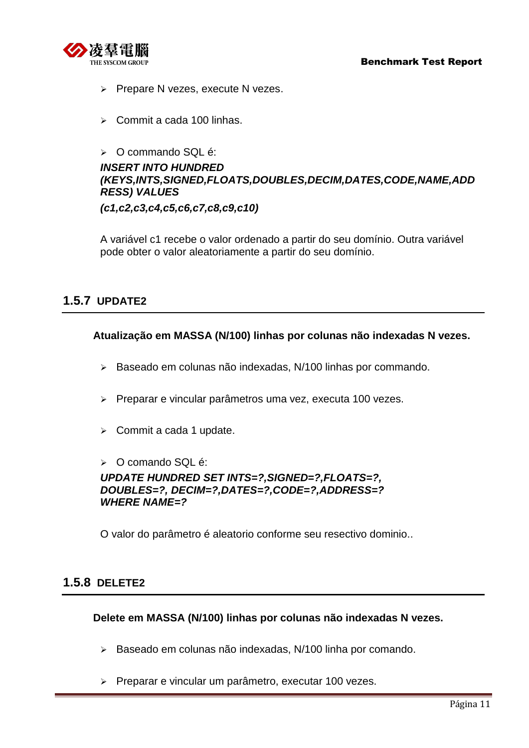- <span id="page-10-0"></span> $\triangleright$  Prepare N vezes, execute N vezes.
- $\triangleright$  Commit a cada 100 linhas.

#### $\geqslant$  O commando SQL é:

## *INSERT INTO HUNDRED (KEYS,INTS,SIGNED,FLOATS,DOUBLES,DECIM,DATES,CODE,NAME,ADD RESS) VALUES*

*(c1,c2,c3,c4,c5,c6,c7,c8,c9,c10)*

A variável c1 recebe o valor ordenado a partir do seu domínio. Outra variável pode obter o valor aleatoriamente a partir do seu domínio.

## **1.5.7 UPDATE2**

**Atualização em MASSA (N/100) linhas por colunas não indexadas N vezes.**

- > Baseado em colunas não indexadas, N/100 linhas por commando.
- Preparar e vincular parâmetros uma vez, executa 100 vezes.
- $\triangleright$  Commit a cada 1 update.
- > O comando SQL é:

*UPDATE HUNDRED SET INTS=?,SIGNED=?,FLOATS=?, DOUBLES=?, DECIM=?,DATES=?,CODE=?,ADDRESS=? WHERE NAME=?*

O valor do parâmetro é aleatorio conforme seu resectivo dominio..

### **1.5.8 DELETE2**

#### **Delete em MASSA (N/100) linhas por colunas não indexadas N vezes.**

- Baseado em colunas não indexadas, N/100 linha por comando.
- **> Preparar e vincular um parâmetro, executar 100 vezes.**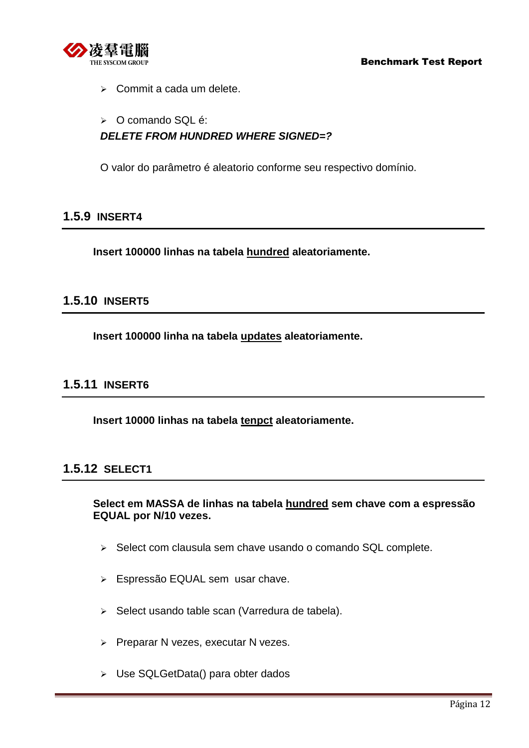<span id="page-11-3"></span>

 $\triangleright$  Commit a cada um delete.

#### O comando SQL é:

## *DELETE FROM HUNDRED WHERE SIGNED=?*

O valor do parâmetro é aleatorio conforme seu respectivo domínio.

### <span id="page-11-0"></span>**1.5.9 INSERT4**

**Insert 100000 linhas na tabela hundred aleatoriamente.**

## <span id="page-11-1"></span>**1.5.10 INSERT5**

**Insert 100000 linha na tabela updates aleatoriamente.**

## <span id="page-11-2"></span>**1.5.11 INSERT6**

**Insert 10000 linhas na tabela tenpct aleatoriamente.**

### **1.5.12 SELECT1**

**Select em MASSA de linhas na tabela hundred sem chave com a espressão EQUAL por N/10 vezes.**

- $\triangleright$  Select com clausula sem chave usando o comando SQL complete.
- Espressão EQUAL sem usar chave.
- $\triangleright$  Select usando table scan (Varredura de tabela).
- $\triangleright$  Preparar N vezes, executar N vezes.
- Use SQLGetData() para obter dados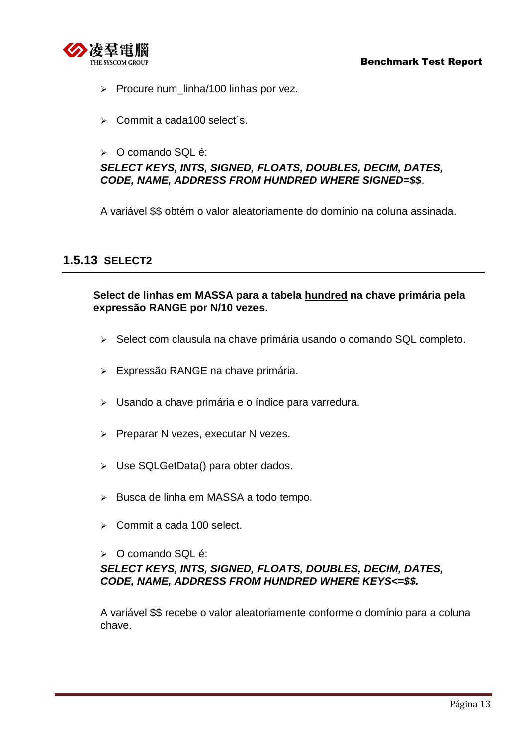<span id="page-12-0"></span>

- $\triangleright$  Procure num\_linha/100 linhas por vez.
- $\triangleright$  Commit a cada100 select's.
- $\geqslant$  O comando SQL é:

### *SELECT KEYS, INTS, SIGNED, FLOATS, DOUBLES, DECIM, DATES, CODE, NAME, ADDRESS FROM HUNDRED WHERE SIGNED=\$\$*.

A variável \$\$ obtém o valor aleatoriamente do domínio na coluna assinada.

## **1.5.13 SELECT2**

#### **Select de linhas em MASSA para a tabela hundred na chave primária pela expressão RANGE por N/10 vezes.**

- $\triangleright$  Select com clausula na chave primária usando o comando SQL completo.
- Expressão RANGE na chave primária.
- Usando a chave primária e o índice para varredura.
- $\triangleright$  Preparar N vezes, executar N vezes.
- Use SQLGetData() para obter dados.
- $\triangleright$  Busca de linha em MASSA a todo tempo.
- $\geq$  Commit a cada 100 select.
- > O comando SQL é:

### *SELECT KEYS, INTS, SIGNED, FLOATS, DOUBLES, DECIM, DATES, CODE, NAME, ADDRESS FROM HUNDRED WHERE KEYS<=\$\$.*

A variável \$\$ recebe o valor aleatoriamente conforme o domínio para a coluna chave.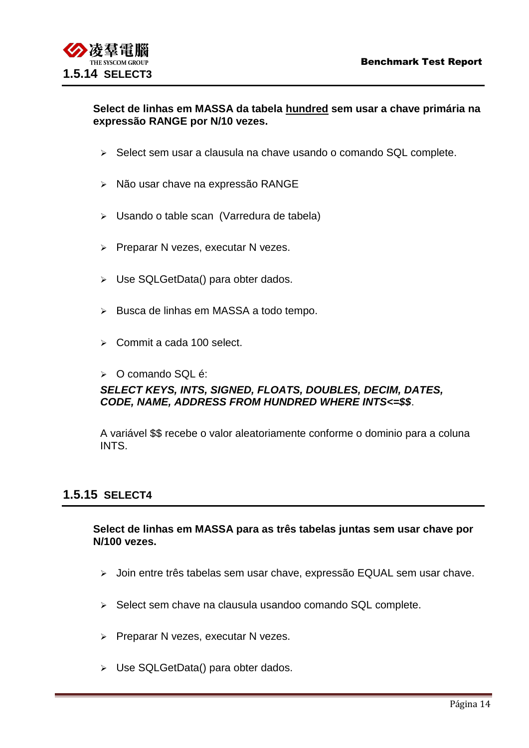#### <span id="page-13-0"></span>**Select de linhas em MASSA da tabela hundred sem usar a chave primária na expressão RANGE por N/10 vezes.**

- $\triangleright$  Select sem usar a clausula na chave usando o comando SQL complete.
- > Não usar chave na expressão RANGE
- Usando o table scan (Varredura de tabela)
- $\triangleright$  Preparar N vezes, executar N vezes.
- Use SQLGetData() para obter dados.
- $\triangleright$  Busca de linhas em MASSA a todo tempo.
- $\triangleright$  Commit a cada 100 select.
- > O comando SQL é:

#### *SELECT KEYS, INTS, SIGNED, FLOATS, DOUBLES, DECIM, DATES, CODE, NAME, ADDRESS FROM HUNDRED WHERE INTS<=\$\$*.

A variável \$\$ recebe o valor aleatoriamente conforme o dominio para a coluna INTS.

### **1.5.15 SELECT4**

**Select de linhas em MASSA para as três tabelas juntas sem usar chave por N/100 vezes.**

- $\triangleright$  Join entre três tabelas sem usar chave, expressão EQUAL sem usar chave.
- $\triangleright$  Select sem chave na clausula usandoo comando SQL complete.
- $\triangleright$  Preparar N vezes, executar N vezes.
- > Use SQLGetData() para obter dados.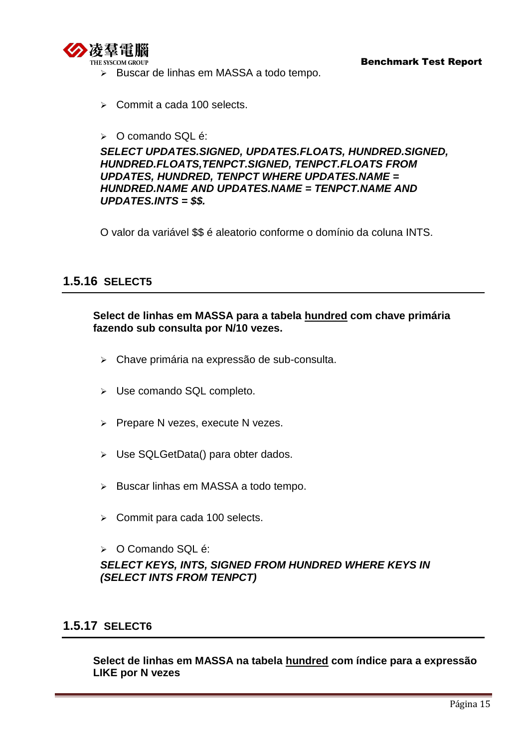<span id="page-14-0"></span>

- > Buscar de linhas em MASSA a todo tempo.
- $\triangleright$  Commit a cada 100 selects.
- > O comando SQL é:

*SELECT UPDATES.SIGNED, UPDATES.FLOATS, HUNDRED.SIGNED, HUNDRED.FLOATS,TENPCT.SIGNED, TENPCT.FLOATS FROM UPDATES, HUNDRED, TENPCT WHERE UPDATES.NAME = HUNDRED.NAME AND UPDATES.NAME = TENPCT.NAME AND UPDATES.INTS = \$\$.*

O valor da variável \$\$ é aleatorio conforme o domínio da coluna INTS.

## **1.5.16 SELECT5**

#### **Select de linhas em MASSA para a tabela hundred com chave primária fazendo sub consulta por N/10 vezes.**

- Chave primária na expressão de sub-consulta.
- > Use comando SQL completo.
- $\triangleright$  Prepare N vezes, execute N vezes.
- > Use SQLGetData() para obter dados.
- $\triangleright$  Buscar linhas em MASSA a todo tempo.
- Commit para cada 100 selects.
- > O Comando SQL é:

*SELECT KEYS, INTS, SIGNED FROM HUNDRED WHERE KEYS IN (SELECT INTS FROM TENPCT)*

### **1.5.17 SELECT6**

**Select de linhas em MASSA na tabela hundred com índice para a expressão LIKE por N vezes**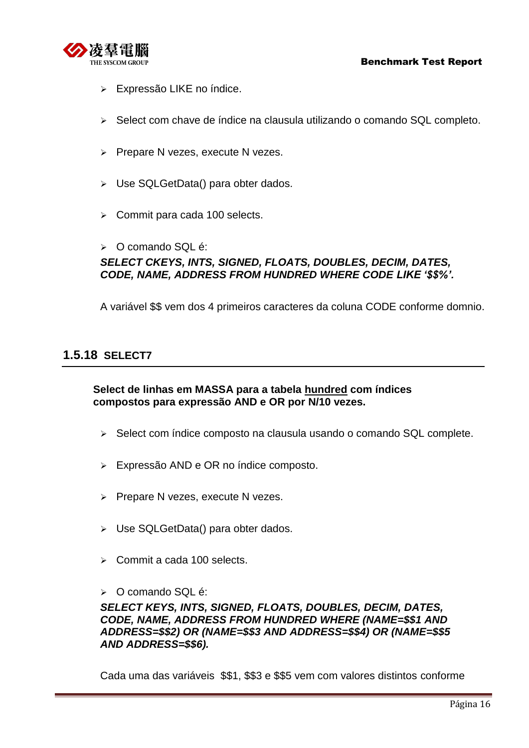<span id="page-15-0"></span>

- Expressão LIKE no índice.
- Select com chave de índice na clausula utilizando o comando SQL completo.
- $\triangleright$  Prepare N vezes, execute N vezes.
- Use SQLGetData() para obter dados.
- $\triangleright$  Commit para cada 100 selects.
- $\triangleright$  O comando SQL é:

## *SELECT CKEYS, INTS, SIGNED, FLOATS, DOUBLES, DECIM, DATES, CODE, NAME, ADDRESS FROM HUNDRED WHERE CODE LIKE '\$\$%'.*

A variável \$\$ vem dos 4 primeiros caracteres da coluna CODE conforme domnio.

## **1.5.18 SELECT7**

**Select de linhas em MASSA para a tabela hundred com índices compostos para expressão AND e OR por N/10 vezes.**

- $\triangleright$  Select com índice composto na clausula usando o comando SQL complete.
- Expressão AND e OR no índice composto.
- $\triangleright$  Prepare N vezes, execute N vezes.
- Use SQLGetData() para obter dados.
- $\geq$  Commit a cada 100 selects.
- $\geqslant$  O comando SQL é:

*SELECT KEYS, INTS, SIGNED, FLOATS, DOUBLES, DECIM, DATES, CODE, NAME, ADDRESS FROM HUNDRED WHERE (NAME=\$\$1 AND ADDRESS=\$\$2) OR (NAME=\$\$3 AND ADDRESS=\$\$4) OR (NAME=\$\$5 AND ADDRESS=\$\$6).*

Cada uma das variáveis \$\$1, \$\$3 e \$\$5 vem com valores distintos conforme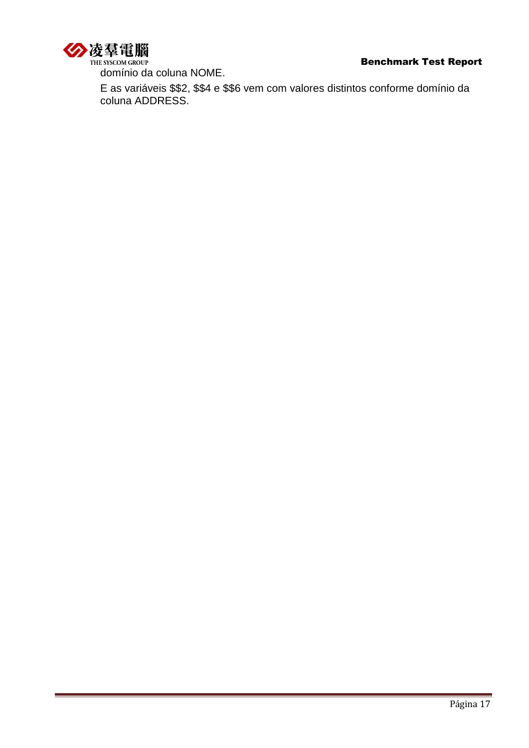

domínio da coluna NOME.

E as variáveis \$\$2, \$\$4 e \$\$6 vem com valores distintos conforme domínio da coluna ADDRESS.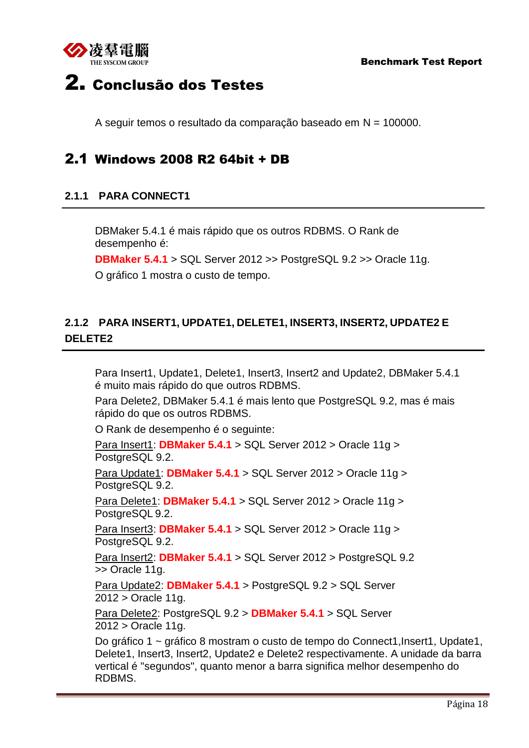

# <span id="page-17-0"></span>2. Conclusão dos Testes

A seguir temos o resultado da comparação baseado em N = 100000.

# <span id="page-17-1"></span>2.1 Windows 2008 R2 64bit + DB

## <span id="page-17-2"></span>**2.1.1 PARA CONNECT1**

DBMaker 5.4.1 é mais rápido que os outros RDBMS. O Rank de desempenho é:

**DBMaker 5.4.1** > SQL Server 2012 >> PostgreSQL 9.2 >> Oracle 11g.

O gráfico 1 mostra o custo de tempo.

## <span id="page-17-3"></span>**2.1.2 PARA INSERT1, UPDATE1, DELETE1, INSERT3, INSERT2, UPDATE2 E DELETE2**

Para Insert1, Update1, Delete1, Insert3, Insert2 and Update2, DBMaker 5.4.1 é muito mais rápido do que outros RDBMS.

Para Delete2, DBMaker 5.4.1 é mais lento que PostgreSQL 9.2, mas é mais rápido do que os outros RDBMS.

O Rank de desempenho é o seguinte:

Para Insert1: **DBMaker 5.4.1** > SQL Server 2012 > Oracle 11g > PostgreSQL 9.2.

Para Update1: **DBMaker 5.4.1** > SQL Server 2012 > Oracle 11g > PostgreSQL 9.2.

Para Delete1: **DBMaker 5.4.1** > SQL Server 2012 > Oracle 11g > PostgreSQL 9.2.

Para Insert3: **DBMaker 5.4.1** > SQL Server 2012 > Oracle 11g > PostgreSQL 9.2.

Para Insert2: **DBMaker 5.4.1** > SQL Server 2012 > PostgreSQL 9.2 >> Oracle 11g.

Para Update2: **DBMaker 5.4.1** > PostgreSQL 9.2 > SQL Server 2012 > Oracle 11g.

Para Delete2: PostgreSQL 9.2 > **DBMaker 5.4.1** > SQL Server 2012 > Oracle 11g.

Do gráfico 1 ~ gráfico 8 mostram o custo de tempo do Connect1, Insert1, Update1, Delete1, Insert3, Insert2, Update2 e Delete2 respectivamente. A unidade da barra vertical é "segundos", quanto menor a barra significa melhor desempenho do RDBMS.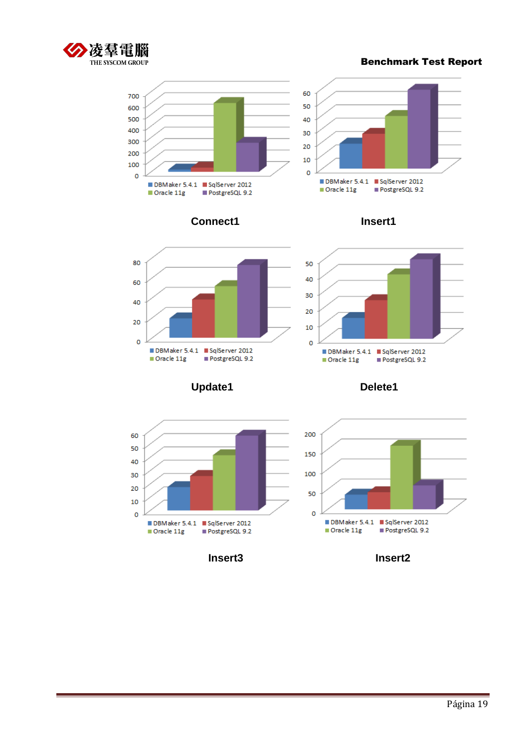













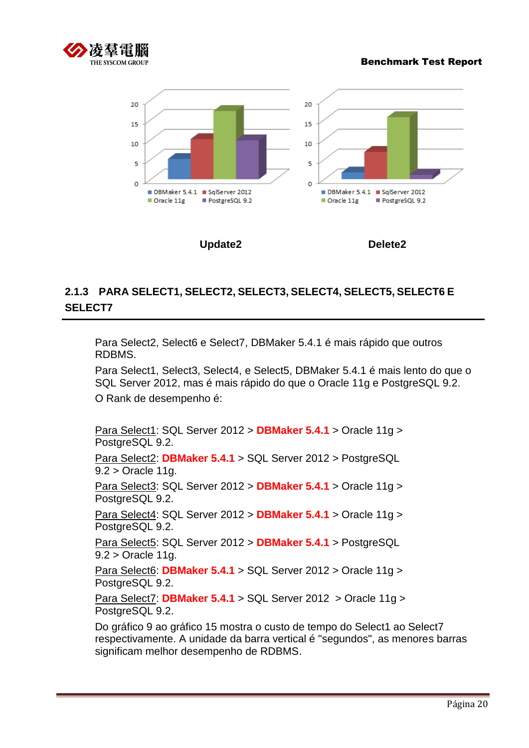



## <span id="page-19-0"></span>**2.1.3 PARA SELECT1, SELECT2, SELECT3, SELECT4, SELECT5, SELECT6 E SELECT7**

Para Select2, Select6 e Select7, DBMaker 5.4.1 é mais rápido que outros RDBMS.

Para Select1, Select3, Select4, e Select5, DBMaker 5.4.1 é mais lento do que o SQL Server 2012, mas é mais rápido do que o Oracle 11g e PostgreSQL 9.2. O Rank de desempenho é:

Para Select1: SQL Server 2012 > **DBMaker 5.4.1** > Oracle 11g > PostgreSQL 9.2.

Para Select2: **DBMaker 5.4.1** > SQL Server 2012 > PostgreSQL 9.2 > Oracle 11g.

Para Select3: SQL Server 2012 > **DBMaker 5.4.1** > Oracle 11g > PostgreSQL 9.2.

Para Select4: SQL Server 2012 > **DBMaker 5.4.1** > Oracle 11g > PostgreSQL 9.2.

Para Select5: SQL Server 2012 > **DBMaker 5.4.1** > PostgreSQL 9.2 > Oracle 11g.

Para Select6: **DBMaker 5.4.1** > SQL Server 2012 > Oracle 11g > PostgreSQL 9.2.

Para Select7: **DBMaker 5.4.1** > SQL Server 2012 > Oracle 11g > PostgreSQL 9.2.

Do gráfico 9 ao gráfico 15 mostra o custo de tempo do Select1 ao Select7 respectivamente. A unidade da barra vertical é "segundos", as menores barras significam melhor desempenho de RDBMS.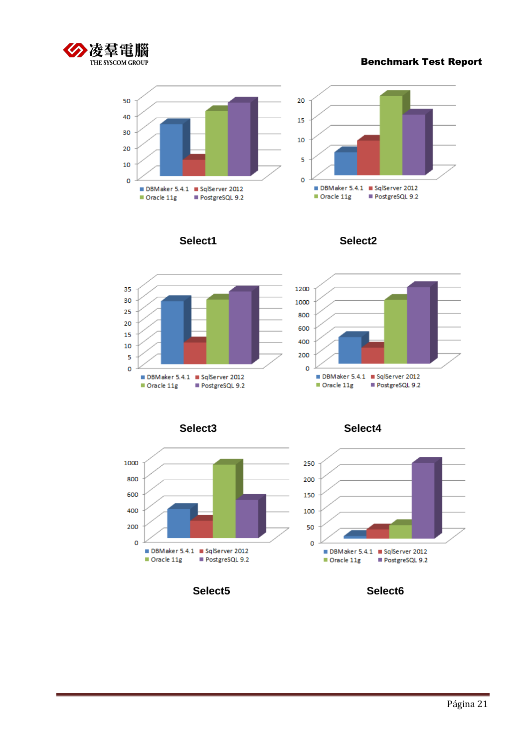













**Select5 Select6**

**Select3 Select4**

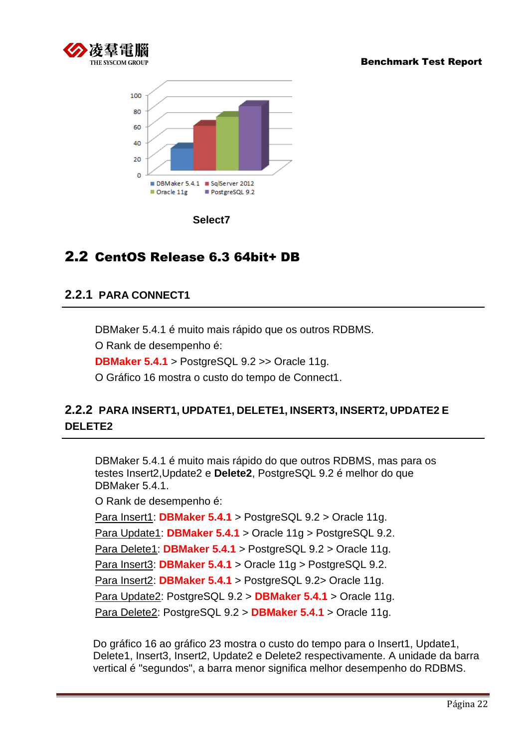



**Select7**

# <span id="page-21-0"></span>2.2 CentOS Release 6.3 64bit+ DB

## <span id="page-21-1"></span>**2.2.1 PARA CONNECT1**

DBMaker 5.4.1 é muito mais rápido que os outros RDBMS.

O Rank de desempenho é:

**DBMaker 5.4.1** > PostgreSQL 9.2 >> Oracle 11g.

O Gráfico 16 mostra o custo do tempo de Connect1.

## <span id="page-21-2"></span>**2.2.2 PARA INSERT1, UPDATE1, DELETE1, INSERT3, INSERT2, UPDATE2 E DELETE2**

DBMaker 5.4.1 é muito mais rápido do que outros RDBMS, mas para os testes Insert2,Update2 e **Delete2**, PostgreSQL 9.2 é melhor do que DBMaker 5.4.1. O Rank de desempenho é: Para Insert1: **DBMaker 5.4.1** > PostgreSQL 9.2 > Oracle 11g. Para Update1: **DBMaker 5.4.1** > Oracle 11g > PostgreSQL 9.2. Para Delete1: **DBMaker 5.4.1** > PostgreSQL 9.2 > Oracle 11g. Para Insert3: **DBMaker 5.4.1** > Oracle 11g > PostgreSQL 9.2. Para Insert2: **DBMaker 5.4.1** > PostgreSQL 9.2> Oracle 11g. Para Update2: PostgreSQL 9.2 > **DBMaker 5.4.1** > Oracle 11g. Para Delete2: PostgreSQL 9.2 > **DBMaker 5.4.1** > Oracle 11g.

Do gráfico 16 ao gráfico 23 mostra o custo do tempo para o Insert1, Update1, Delete1, Insert3, Insert2, Update2 e Delete2 respectivamente. A unidade da barra vertical é "segundos", a barra menor significa melhor desempenho do RDBMS.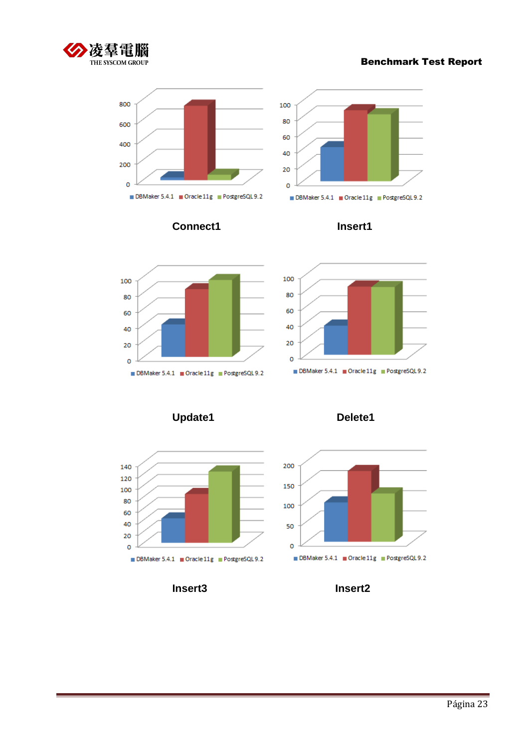









**Update1 Delete1**





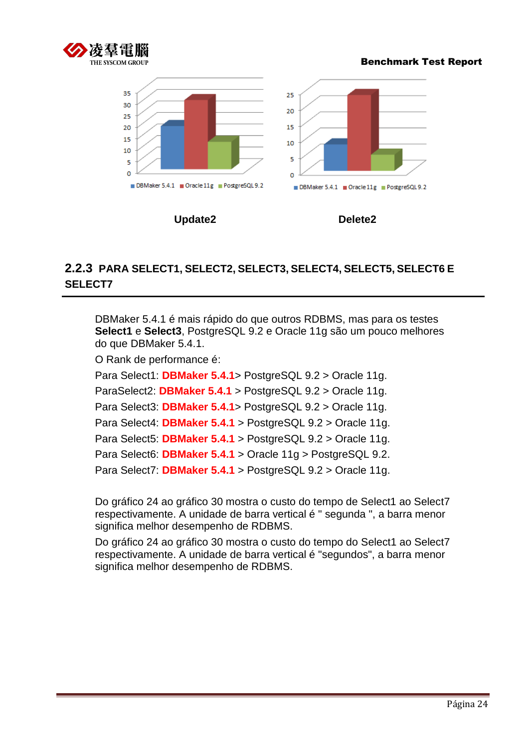





## <span id="page-23-0"></span>**2.2.3 PARA SELECT1, SELECT2, SELECT3, SELECT4, SELECT5, SELECT6 E SELECT7**

DBMaker 5.4.1 é mais rápido do que outros RDBMS, mas para os testes **Select1** e **Select3**, PostgreSQL 9.2 e Oracle 11g são um pouco melhores do que DBMaker 5.4.1.

O Rank de performance é:

Para Select1: **DBMaker 5.4.1**> PostgreSQL 9.2 > Oracle 11g. ParaSelect2: **DBMaker 5.4.1** > PostgreSQL 9.2 > Oracle 11g. Para Select3: **DBMaker 5.4.1**> PostgreSQL 9.2 > Oracle 11g. Para Select4: **DBMaker 5.4.1** > PostgreSQL 9.2 > Oracle 11g. Para Select5: **DBMaker 5.4.1** > PostgreSQL 9.2 > Oracle 11g. Para Select6: **DBMaker 5.4.1** > Oracle 11g > PostgreSQL 9.2. Para Select7: **DBMaker 5.4.1** > PostgreSQL 9.2 > Oracle 11g.

Do gráfico 24 ao gráfico 30 mostra o custo do tempo de Select1 ao Select7 respectivamente. A unidade de barra vertical é " segunda ", a barra menor significa melhor desempenho de RDBMS.

Do gráfico 24 ao gráfico 30 mostra o custo do tempo do Select1 ao Select7 respectivamente. A unidade de barra vertical é "segundos", a barra menor significa melhor desempenho de RDBMS.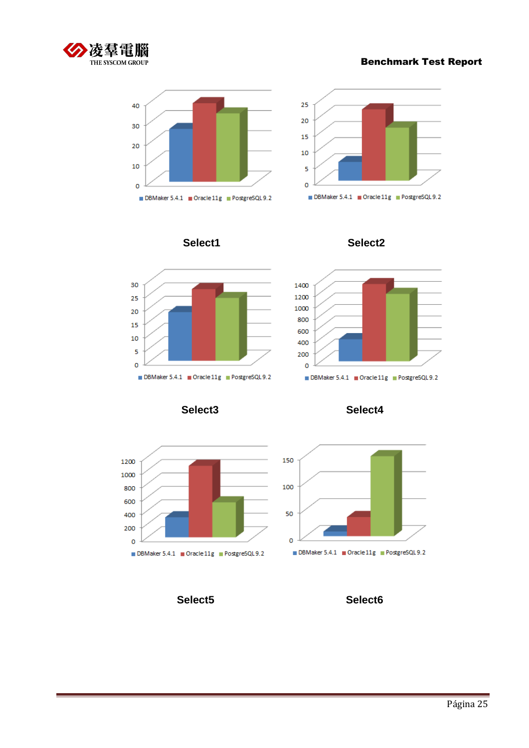



















**Select5 Select6**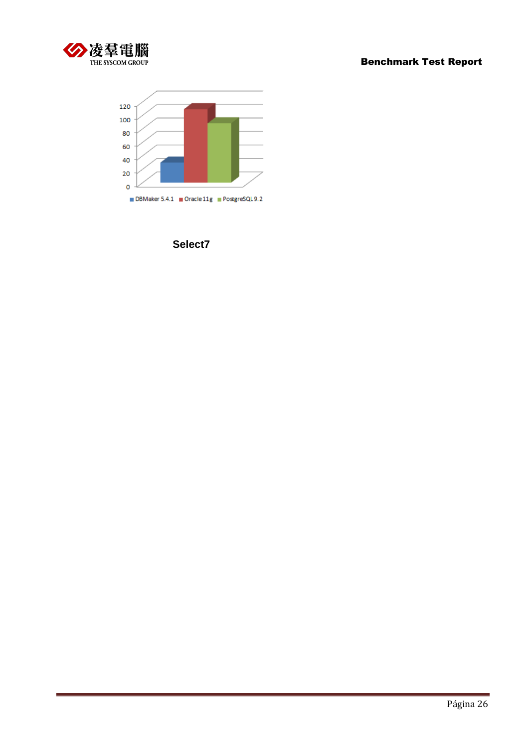



**Select7**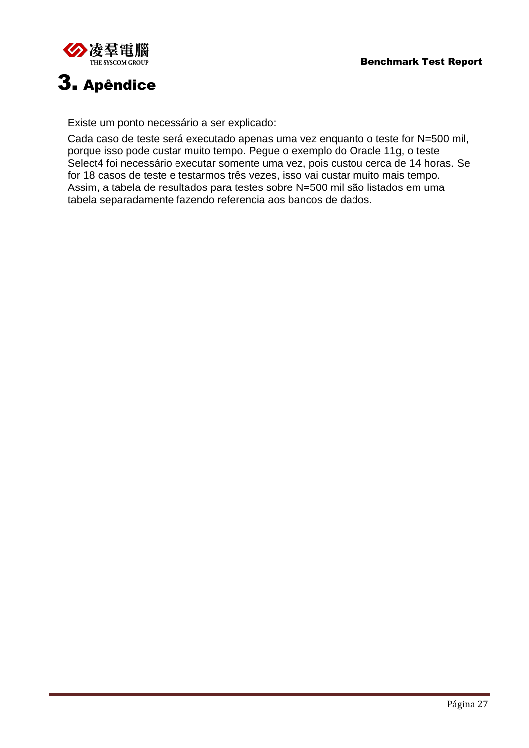



# <span id="page-26-0"></span>3. Apêndice

Existe um ponto necessário a ser explicado:

Cada caso de teste será executado apenas uma vez enquanto o teste for N=500 mil, porque isso pode custar muito tempo. Pegue o exemplo do Oracle 11g, o teste Select4 foi necessário executar somente uma vez, pois custou cerca de 14 horas. Se for 18 casos de teste e testarmos três vezes, isso vai custar muito mais tempo. Assim, a tabela de resultados para testes sobre N=500 mil são listados em uma tabela separadamente fazendo referencia aos bancos de dados.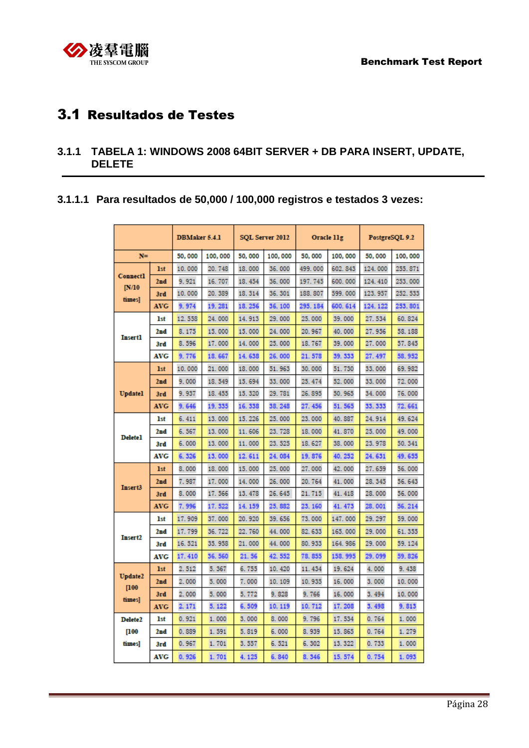<span id="page-27-0"></span>

# 3.1 Resultados de Testes

#### <span id="page-27-1"></span>**3.1.1 TABELA 1: WINDOWS 2008 64BIT SERVER + DB PARA INSERT, UPDATE, DELETE**

#### **3.1.1.1 Para resultados de 50,000 / 100,000 registros e testados 3 vezes:**

|                         |            | <b>DBMaker 5.4.1</b> |         | SQL Server 2012 |         | Oracle 11g |          | PostgreSQL 9.2 |         |
|-------------------------|------------|----------------------|---------|-----------------|---------|------------|----------|----------------|---------|
| $N =$                   |            | 50,000               | 100,000 | 50,000          | 100,000 | 50,000     | 100,000  | 50,000         | 100,000 |
|                         | <b>1st</b> | 10.000               | 20.748  | 18,000          | 36,000  | 499.000    | 602.843  | 124.000        | 255.871 |
| <b>Connect1</b>         | 2nd        | 9.921                | 16, 707 | 18, 454         | 36,000  | 197.745    | 600.000  | 124, 410       | 253,000 |
| [N/10]<br>times]        | 3rd        | 10.000               | 20.389  | 18.314          | 36.301  | 188, 807   | 599.000  | 123.957        | 252.533 |
|                         | <b>AVG</b> | 9.974                | 19.281  | 18.256          | 36.100  | 295.184    | 600. 614 | 124.122        | 253.801 |
|                         | <b>1st</b> | 12.558               | 24.000  | 14.913          | 29,000  | 25,000     | 39,000   | 27.534         | 60.824  |
| <b>Insert1</b>          | 2nd        | 8.175                | 15,000  | 15.000          | 24.000  | 20.967     | 40.000   | 27.956         | 58.188  |
|                         | 3rd        | 8.596                | 17.000  | 14.000          | 25,000  | 18, 767    | 39,000   | 27.000         | 57.845  |
|                         | <b>AVG</b> | 9.776                | 18.667  | 14.638          | 26.000  | 21.578     | 39.333   | 27.497         | 58.952  |
|                         | <b>1st</b> | 10.000               | 21.000  | 18.000          | 51.963  | 30.000     | 51.730   | 33.000         | 69.982  |
|                         | 2nd        | 9.000                | 18, 549 | 15.694          | 33,000  | 25.474     | 52,000   | 33,000         | 72.000  |
| <b>Updatel</b>          | 3rd        | 9.937                | 18.455  | 15.320          | 29, 781 | 26, 895    | 50.965   | 34.000         | 76.000  |
|                         | <b>AVG</b> | 9.646                | 19.335  | 16.338          | 38.248  | 27.456     | 51.565   | 33.333         | 72.661  |
|                         | 1st        | 6.411                | 13,000  | 15.226          | 25,000  | 23,000     | 40.887   | 24.914         | 49.624  |
| <b>Delete1</b>          | 2nd        | 6.567                | 13.000  | 11.606          | 23, 728 | 18.000     | 41.870   | 25.000         | 49.000  |
|                         | 3rd        | 6.000                | 13.000  | 11.000          | 23, 525 | 18, 627    | 38.000   | 23.978         | 50.341  |
|                         | <b>AVG</b> | 6.326                | 13.000  | 12.611          | 24.084  | 19.876     | 40.252   | 24.631         | 49.655  |
|                         | <b>1st</b> | 8.000                | 18,000  | 15.000          | 25,000  | 27.000     | 42.000   | 27.659         | 56,000  |
| Insert3                 | 2nd        | 7.987                | 17.000  | 14.000          | 26.000  | 20.764     | 41.000   | 28.345         | 56.643  |
|                         | 3rd        | 8.000                | 17.566  | 13.478          | 26, 645 | 21.715     | 41.418   | 28.000         | 56.000  |
|                         | <b>AVG</b> | 7.996                | 17.522  | 14.159          | 25.882  | 23.160     | 41.473   | 28.001         | 56.214  |
|                         | lst        | 17.909               | 37.000  | 20.920          | 39.656  | 73.000     | 147.000  | 29.297         | 59.000  |
| Insert2                 | 2nd        | 17.799               | 36.722  | 22.760          | 44.000  | 82.633     | 165,000  | 29.000         | 61.355  |
|                         | 3rd        | 16.521               | 35.958  | 21.000          | 44.000  | 80.933     | 164.986  | 29.000         | 59.124  |
|                         | <b>AVG</b> | 17.410               | 36.560  | 21.56           | 42.552  | 78.855     | 158.995  | 29.099         | 59.826  |
|                         | <b>1st</b> | 2.512                | 5.367   | 6.755           | 10.420  | 11.434     | 19.624   | 4.000          | 9.438   |
| <b>Update2</b><br>[100] | 2nd        | 2.000                | 5.000   | 7.000           | 10, 109 | 10.935     | 16.000   | 3.000          | 10.000  |
| times]                  | 3rd        | 2.000                | 5.000   | 5.772           | 9.828   | 9.766      | 16.000   | 3.494          | 10.000  |
|                         | <b>AVG</b> | 2.171                | 5.122   | 6.509           | 10.119  | 10.712     | 17.208   | 3.498          | 9.813   |
| Delete <sub>2</sub>     | 1st        | 0.921                | 1,000   | 3.000           | 8.000   | 9.796      | 17.534   | 0.764          | 1.000   |
| [100]                   | 2nd        | 0.889                | 1,591   | 5.819           | 6.000   | 8.939      | 15.865   | 0.764          | 1.279   |
| times]                  | 3rd        | 0.967                | 1.701   | 3.557           | 6.521   | 6.302      | 13.322   | 0.733          | 1.000   |
|                         | <b>AVG</b> | 0.926                | 1.701   | 4.125           | 6.840   | 8.346      | 15.574   | 0.754          | 1.093   |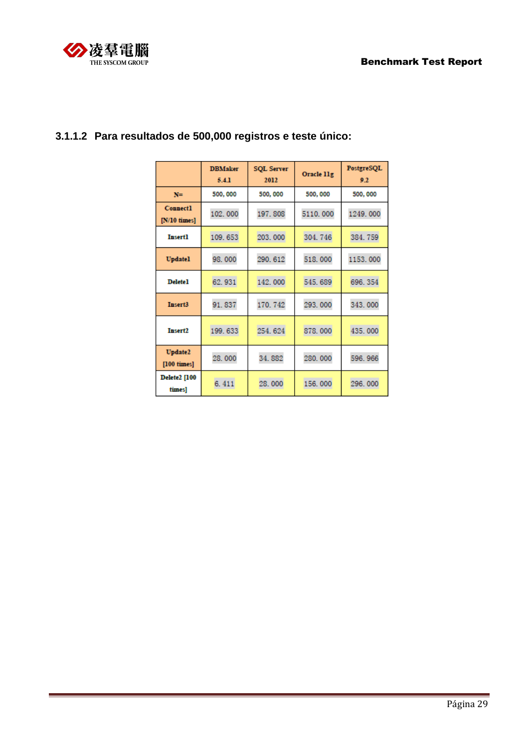

|                                 | <b>DBMaker</b><br>5.4.1 | <b>SQL Server</b><br>2012 | Oracle 11g | PostgreSQL<br>9.2 |
|---------------------------------|-------------------------|---------------------------|------------|-------------------|
| $N =$                           | 500,000                 | 500, 000                  | 500,000    | 500, 000          |
| <b>Connect1</b><br>[N/10 times] | 102.000                 | 197.808                   | 5110.000   | 1249.000          |
| <b>Insert1</b>                  | 203.000<br>109.653      |                           | 304.746    | 384.759           |
| <b>Updatel</b>                  | 98.000                  | 290.612                   | 518.000    | 1153.000          |
| <b>Delete1</b>                  | 62.931                  | 142.000                   | 545.689    | 696.354           |
| <b>Insert3</b>                  | 91.837                  | 170.742                   | 293.000    | 343,000           |
| <b>Insert2</b>                  | 199.633                 | 254.624                   | 878,000    | 435.000           |
| <b>Update2</b><br>[100 times]   | 28.000<br>34.882        |                           | 280.000    | 596.966           |
| <b>Delete2</b> [100<br>times]   | 6.411                   | 28.000                    | 156.000    | 296.000           |

# **3.1.1.2 Para resultados de 500,000 registros e teste único:**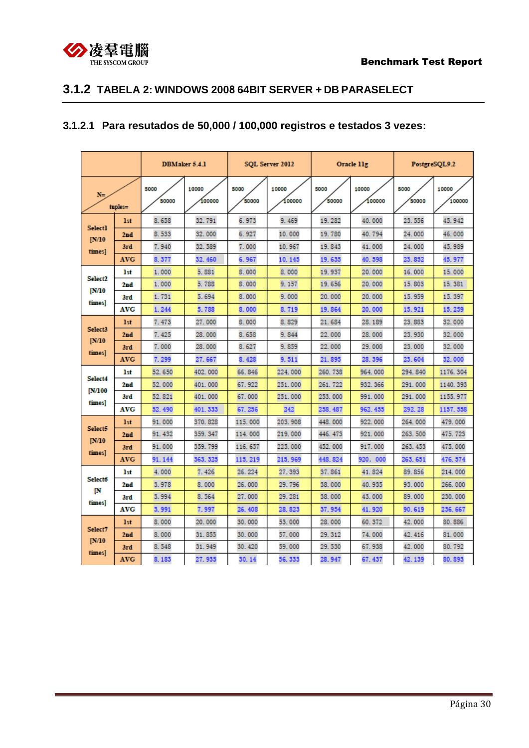

## <span id="page-29-0"></span>**3.1.2 TABELA 2: WINDOWS 2008 64BIT SERVER + DB PARASELECT**

## **3.1.2.1 Para resutados de 50,000 / 100,000 registros e testados 3 vezes:**

|                          |                 |               | <b>DBMaker 5.4.1</b> | SQL Server 2012 |                |               | Oracle 11g      |               | PostgreSQL9.2   |  |
|--------------------------|-----------------|---------------|----------------------|-----------------|----------------|---------------|-----------------|---------------|-----------------|--|
| $N =$<br>tuples=         |                 | 5000<br>50000 | 10000<br>100000      | 5000<br>50000   | 10000<br>00000 | 5000<br>50000 | 10000<br>100000 | 5000<br>50000 | 10000<br>100000 |  |
|                          | 1 <sub>st</sub> | 8.658         | 32.791               | 6.973           | 9.469          | 19.282        | 40.000          | 23.556        | 45.942          |  |
| <b>Select1</b><br>[N/10] | 2 <sub>nd</sub> | 8.533         | 32.000               | 6.927           | 10.000         | 19.780        | 40.794          | 24.000        | 46.000          |  |
| times]                   | 3rd             | 7.940         | 32.589               | 7.000           | 10.967         | 19.843        | 41.000          | 24.000        | 45.989          |  |
|                          | <b>AVG</b>      | 8.377         | 32.460               | 6.967           | 10.145         | 19.635        | 40.598          | 23.852        | 45.977          |  |
| Select <sub>2</sub>      | <b>1st</b>      | 1.000         | 5.881                | 8.000           | 8.000          | 19.937        | 20,000          | 16,000        | 15,000          |  |
| [N/10                    | 2nd             | 1.000         | 5.788                | 8.000           | 9.157          | 19.656        | 20.000          | 15.803        | 15.381          |  |
| times]                   | 3rd             | 1.731         | 5.694                | 8.000           | 9.000          | 20.000        | 20.000          | 15.959        | 15.397          |  |
|                          | AVG             | 1.244         | 5.788                | 8.000           | 8.719          | 19.864        | 20.000          | 15.921        | 15.259          |  |
| Select3                  | 1 <sub>st</sub> | 7.473         | 27.000               | 8.000           | 8.829          | 21.684        | 28, 189         | 23.883        | 32.000          |  |
| N/10                     | 2 <sub>nd</sub> | 7.425         | 28,000               | 8.658           | 9.844          | 22,000        | 28,000          | 23, 930       | 32.000          |  |
| times]                   | 3rd             | 7.000         | 28,000               | 8.627           | 9.859          | 22.000        | 29.000          | 23.000        | 32.000          |  |
|                          | <b>AVG</b>      | 7.299         | 27.667               | 8.428           | 9.511          | 21.895        | 28.396          | 23.604        | 32.000          |  |
| Select4                  | <b>1st</b>      | 52.650        | 402.000              | 66.846          | 224,000        | 260, 738      | 964, 000        | 294.840       | 1176.304        |  |
| <b>IN/100</b>            | 2nd             | 52.000        | 401.000              | 67.922          | 251.000        | 261, 722      | 932.366         | 291,000       | 1140.393        |  |
| times]                   | 3rd             | 52.821        | 401.000              | 67.000          | 251.000        | 253, 000      | 991.000         | 291.000       | 1155.977        |  |
|                          | AVG             | 52.490        | 401.333              | 67.256          | 242            | 258.487       | 962.455         | 292.28        | 1157.558        |  |
| Select5                  | 1st             | 91.000        | 370, 828             | 115,000         | 203, 908       | 448,000       | 922, 000        | 264,000       | 479.000         |  |
| IN/10                    | 2nd             | 91.432        | 359.347              | 114.000         | 219,000        | 446, 473      | 921.000         | 263, 500      | 475.723         |  |
| times]                   | 3rd             | 91.000        | 359, 799             | 116, 657        | 225,000        | 452, 000      | 917.000         | 263.453       | 475.000         |  |
|                          | <b>AVG</b>      | 91.144        | 363.325              | 115.219         | 215.969        | 448.824       | 920. 000        | 263.651       | 476.574         |  |
| <b>Select6</b>           | 1st             | 4.000         | 7.426                | 26.224          | 27.393         | 37.861        | 41.824          | 89.856        | 214,000         |  |
| IN                       | 2nd             | 3.978         | 8.000                | 26.000          | 29.796         | 38.000        | 40.935          | 93.000        | 266, 000        |  |
| times]                   | 3rd             | 3.994         | 8.564                | 27.000          | 29.281         | 38.000        | 43.000          | 89.000        | 230, 000        |  |
|                          | AVG             | 3.991         | 7.997                | 26.408          | 28.823         | 37.954        | 41.920          | 90.619        | 236.667         |  |
| Select7                  | 1 <sub>st</sub> | 8.000         | 20.000               | 30,000          | 53.000         | 28,000        | 60.372          | 42.000        | 80.886          |  |
| [N/10]                   | 2nd             | 8.000         | 31.855               | 30.000          | 57.000         | 29.312        | 74.000          | 42.416        | 81.000          |  |
| times]                   | 3rd             | 8.548         | 31.949               | 30.420          | 59.000         | 29.530        | 67.938          | 42.000        | 80.792          |  |
|                          | <b>AVG</b>      | 8.183         | 27.935               | 30.14           | 56.333         | 28.947        | 67.437          | 42.139        | 80.893          |  |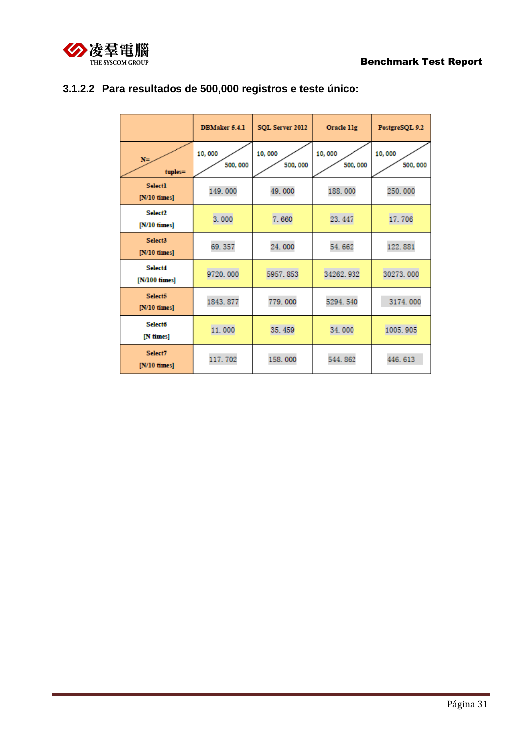

|                                          | <b>DBMaker 5.4.1</b> | SQL Server 2012    | Oracle 11g        | PostgreSQL 9.2    |
|------------------------------------------|----------------------|--------------------|-------------------|-------------------|
| $N =$<br>tuples=                         | 10,000<br>500,000    | 10,000<br>500, 000 | 10,000<br>500,000 | 10,000<br>500,000 |
| <b>Select1</b><br>$[N/10 \text{ times}]$ | 149.000              | 49.000             | 188,000           | 250,000           |
| Select <sub>2</sub><br>$[N/10]$ times    | 3.000                | 7.660              | 23.447            | 17.706            |
| Select3<br>$[N/10 \; \mathrm{times}]$    | 69.357               | 24.000             | 54.662            | 122.881           |
| Select4<br>[N/100 times]                 | 9720,000             | 5957.853           | 34262.932         | 30273.000         |
| Select5<br>$[N/10 \; \mathrm{times}]$    | 1843.877             | 779.000            | 5294.540          | 3174.000          |
| <b>Select6</b><br>[N times]              | 11.000               | 35.459<br>34.000   |                   | 1005.905          |
| Select7<br>$[N/10 \; \mathrm{times}]$    | 117.702              | 158,000            | 544.862           | 446.613           |

# **3.1.2.2 Para resultados de 500,000 registros e teste único:**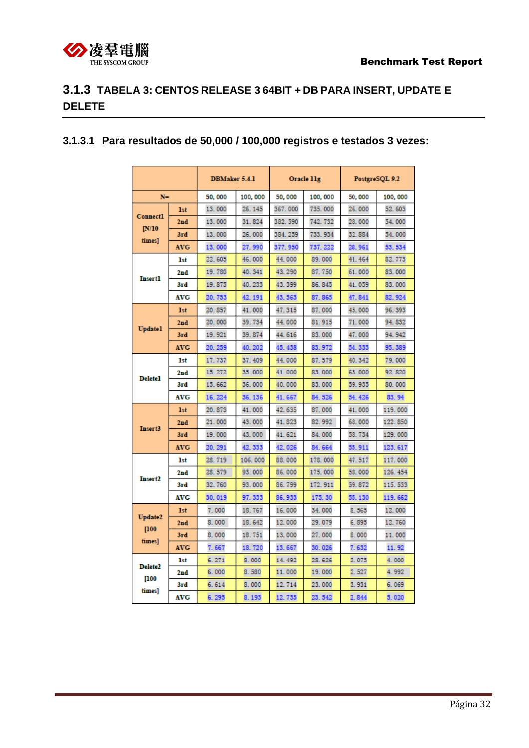

# <span id="page-31-0"></span>**3.1.3 TABELA 3: CENTOS RELEASE 3 64BIT + DB PARA INSERT, UPDATE E DELETE**

### **3.1.3.1 Para resultados de 50,000 / 100,000 registros e testados 3 vezes:**

|                     |            | <b>DBMaker 5.4.1</b> |         | Oracle 11g |          |         | PostgreSQL 9.2 |
|---------------------|------------|----------------------|---------|------------|----------|---------|----------------|
| $N =$               |            | 50,000               | 100,000 | 50,000     | 100,000  | 50,000  | 100,000        |
| <b>Connect1</b>     | <b>1st</b> | 13.000               | 26.145  | 367.000    | 735, 000 | 26.000  | 52.603         |
|                     | 2nd        | 13.000               | 31.824  | 382.590    | 742, 732 | 28,000  | 54.000         |
| IN/10<br>times]     | 3rd        | 13.000               | 26.000  | 384, 259   | 733, 934 | 32.884  | 54.000         |
|                     | <b>AVG</b> | 13.000               | 27.990  | 377.950    | 737.222  | 28.961  | 53.534         |
|                     | <b>1st</b> | 22.605               | 46.000  | 44.000     | 89.000   | 41.464  | 82.773         |
| <b>Insert1</b>      | 2nd        | 19.780               | 40.341  | 43.290     | 87.750   | 61.000  | 83.000         |
|                     | 3rd        | 19.875               | 40.233  | 43.399     | 86.845   | 41.059  | 83.000         |
|                     | <b>AVG</b> | 20.753               | 42.191  | 43.563     | 87.865   | 47.841  | 82.924         |
|                     | <b>1st</b> | 20.857               | 41.000  | 47.315     | 87.000   | 45.000  | 96.393         |
| <b>Updatel</b>      | 2nd        | 20,000               | 39.734  | 44.000     | 81.915   | 71.000  | 94.832         |
|                     | 3rd        | 19.921               | 39.874  | 44.616     | 83.000   | 47.000  | 94.942         |
|                     | <b>AVG</b> | 20.259               | 40.202  | 45.438     | 83.972   | 54.333  | 95.389         |
|                     | 1st        | 17.737               | 37.409  | 44.000     | 87.579   | 40.342  | 79.000         |
| <b>Deletel</b>      | 2nd        | 15.272               | 35,000  | 41.000     | 83.000   | 63.000  | 92.820         |
|                     | 3rd        | 15.662               | 36.000  | 40.000     | 83.000   | 59.935  | 80.000         |
|                     | <b>AVG</b> | 16.224               | 36.136  | 41.667     | 84.526   | 54.426  | 83.94          |
|                     | <b>1st</b> | 20.873               | 41.000  | 42.635     | 87.000   | 41.000  | 119.000        |
| Insert3             | 2nd        | 21.000               | 43.000  | 41.823     | 82.992   | 68.000  | 122, 850       |
|                     | 3rd        | 19,000               | 43.000  | 41.621     | 84.000   | 58, 734 | 129,000        |
|                     | <b>AVG</b> | 20.291               | 42.333  | 42.026     | 84.664   | 55.911  | 123.617        |
|                     | 1st        | 28.719               | 106,000 | 88,000     | 178,000  | 47.517  | 117.000        |
| Insert2             | 2nd        | 28.579               | 93.000  | 86,000     | 175, 000 | 58.000  | 126.454        |
|                     | 3rd        | 32.760               | 93,000  | 86.799     | 172.911  | 59.872  | 115, 533       |
|                     | <b>AVG</b> | 30.019               | 97.333  | 86.933     | 175.30   | 55.130  | 119.662        |
| <b>Update2</b>      | 1st        | 7.000                | 18.767  | 16.000     | 34.000   | 8.565   | 12.000         |
| [100]               | 2nd        | 8.000                | 18.642  | 12.000     | 29.079   | 6.895   | 12.760         |
| times]              | 3rd        | 8.000                | 18.751  | 13.000     | 27.000   | 8.000   | 11.000         |
|                     | <b>AVG</b> | 7.667                | 18.720  | 13.667     | 30.026   | 7.632   | 11.92          |
| Delete <sub>2</sub> | <b>1st</b> | 6.271                | 8.000   | 14.492     | 28.626   | 2.075   | 4.000          |
| 100                 | 2nd        | 6.000                | 8.580   | 11.000     | 19.000   | 2.527   | 4.992          |
|                     | 3rd        | 6.614                | 8.000   | 12.714     | 23.000   | 3.931   | 6.069          |
| times]              | AVG        | 6.295                | 8.193   | 12.735     | 23.542   | 2.844   | 5.020          |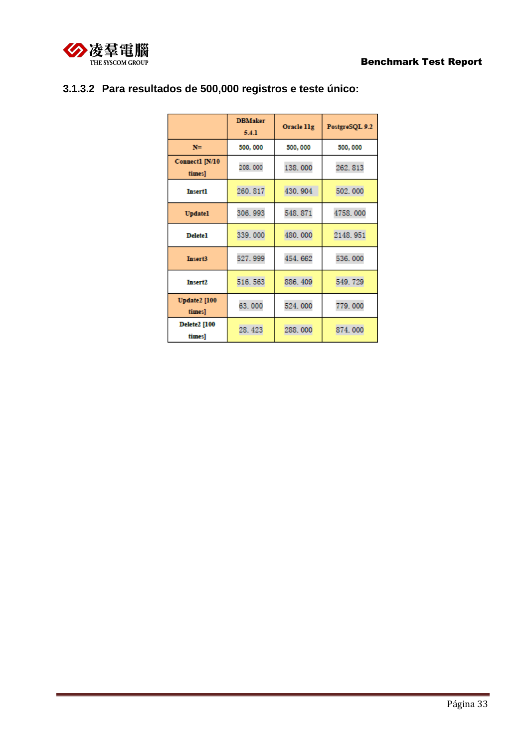

|                               | <b>DBMaker</b><br>5.4.1 | Oracle 11g | PostgreSQL 9.2 |
|-------------------------------|-------------------------|------------|----------------|
| $N =$                         | 500, 000                | 500,000    | 500,000        |
| Connect1 [N/10<br>times]      | 208,000                 | 138.000    | 262.813        |
| <b>Insert1</b>                | 260.817                 | 430.904    | 502.000        |
| <b>Updatel</b>                | 306.993                 | 548.871    | 4758.000       |
| <b>Delete1</b>                | 339,000                 | 480.000    | 2148.951       |
| <b>Insert3</b>                | 527.999                 | 454.662    | 536.000        |
| <b>Insert2</b>                | 516.563                 | 886.409    | 549.729        |
| <b>Update2</b> [100<br>times] | 63.000                  | 524.000    | 779.000        |
| <b>Delete2</b> [100<br>times] | 28.423                  | 288.000    | 874.000        |

# **3.1.3.2 Para resultados de 500,000 registros e teste único:**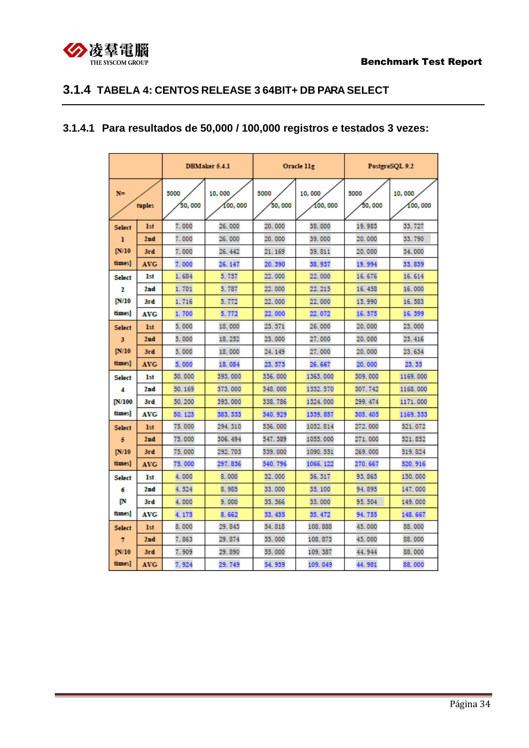

## <span id="page-33-0"></span>**3.1.4 TABELA 4: CENTOS RELEASE 3 64BIT+ DB PARA SELECT**

## **3.1.4.1 Para resultados de 50,000 / 100,000 registros e testados 3 vezes:**

|                 |            | <b>DBMaker 5.4.1</b> |                   |                | Oracle 11g        | PostgreSQL 9.2  |                   |  |
|-----------------|------------|----------------------|-------------------|----------------|-------------------|-----------------|-------------------|--|
| $N =$<br>tuples |            | 5000<br>50,000       | 10,000<br>100,000 | 5000<br>50,000 | 10,000<br>100,000 | 5000<br>50, 000 | 10,000<br>100,000 |  |
| <b>Select</b>   | <b>1st</b> | 7.000                | 26.000            | 20,000         | 38,000            | 19.983          | 33.727            |  |
| ı               | 2nd        | 7.000                | 26.000            | 20,000         | 39,000            | 20,000          | 33.790            |  |
| IN/10           | 3rd        | 7.000                | 26.442            | 21.169         | 39.811            | 20,000          | 34.000            |  |
| times]          | <b>AVG</b> | 7.000                | 26.147            | 20.390         | 38.937            | 19.994          | 33, 839           |  |
| <b>Select</b>   | 1st        | 1.684                | 5.757             | 22.000         | 22.000            | 16, 676         | 16, 614           |  |
| 2               | 2nd        | 1.701                | 5.787             | 22.000         | 22.215            | 16, 458         | 16.000            |  |
| [N/10           | 3rd        | 1.716                | 5.772             | 22.000         | 22.000            | 15.990          | 16.583            |  |
| times]          | AVG        | 1.700                | 5.772             | 22.000         | 22.072            | 16.375          | 16.399            |  |
| <b>Select</b>   | <b>1st</b> | 5.000                | 18.000            | 23.571         | 26.000            | 20.000          | 23.000            |  |
| 3               | 2nd        | 5.000                | 18.252            | 23.000         | 27.000            | 20.000          | 23.416            |  |
| IN/10           | 3rd        | 5.000                | 18,000            | 24.149         | 27.000            | 20,000          | 23.634            |  |
| times]          | <b>AVG</b> | 5.000                | 18.084            | 23.573         | 26.667            | 20.000          | 23.35             |  |
| <b>Select</b>   | 1st        | 50,000               | 393, 000          | 336, 000       | 1363, 000         | 309,000         | 1169.000          |  |
| 4               | 2nd        | 50.169               | 373,000           | 348.000        | 1332.570          | 307.742         | 1168.000          |  |
| <b>IN/100</b>   | 3rd        | 50.200               | 393, 000          | 338, 786       | 1324, 000         | 299.474         | 1171.000          |  |
| times]          | <b>AVG</b> | 50.123               | 383.333           | 340.929        | 1339, 857         | 305.405         | 1169.333          |  |
| <b>Select</b>   | <b>1st</b> | 75.000               | 294.310           | 536.000        | 1052.814          | 272,000         | 521.072           |  |
| 5               | 2nd        | 75,000               | 306.494           | 547.389        | 1055.000          | 271.000         | 521.852           |  |
| IN/10           | 3rd        | 75,000               | 292, 703          | 539,000        | 1090.551          | 269,000         | 519.824           |  |
| times]          | <b>AVG</b> | 75.000               | 297.836           | 540.796        | 1066.122          | 270.667         | 520.916           |  |
| <b>Select</b>   | <b>1st</b> | 4.000                | 8.000             | 32.000         | 36.317            | 93.865          | 150,000           |  |
| б               | 2nd        | 4.524                | 8.985             | 33.000         | 35, 100           | 94.895          | 147.000           |  |
| IN              | 3rd        | 4.000                | 9.000             | 35.366         | 35,000            | 95.504          | 149.000           |  |
| times]          | AVG        | 4.175                | 8.662             | 33.455         | 35.472            | 94.755          | 148.667           |  |
| <b>Select</b>   | <b>1st</b> | 8.000                | 29.843            | 54.818         | 108.888           | 45.000          | 88.000            |  |
| 7               | 2nd        | 7.863                | 29.874            | 55,000         | 108.873           | 45.000          | 88,000            |  |
| IN/10           | 3rd        | 7.909                | 29.890            | 55.000         | 109.387           | 44.944          | 88,000            |  |
| times]          | <b>AVG</b> | 7.924                | 29.749            | 54.939         | 109.049           | 44.981          | 88.000            |  |